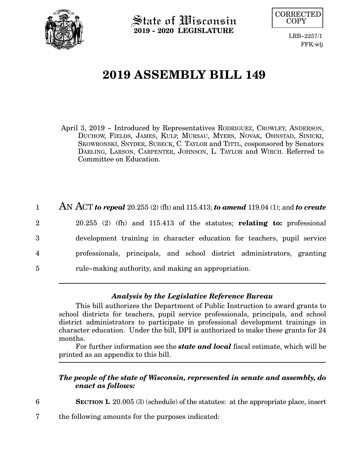

 $\operatorname{\mathsf{State}}$  of Wisconsin **2019 - 2020 LEGISLATURE**



LRB-2257/1 FFK:wlj

# **2019 ASSEMBLY BILL 149**

- April 3, 2019 Introduced by Representatives RODRIGUEZ, CROWLEY, ANDERSON, DUCHOW, FIELDS, JAMES, KULP, MURSAU, MYERS, NOVAK, OHNSTAD, SINICKI, SKOWRONSKI, SNYDER, SUBECK, C. TAYLOR and TITTL, cosponsored by Senators DARLING, LARSON, CARPENTER, JOHNSON, L. TAYLOR and WIRCH. Referred to Committee on Education.
- AN ACT *to repeal* 20.255 (2) (fh) and 115.413; *to amend* 119.04 (1); and *to create* 20.255 (2) (fh) and 115.413 of the statutes; **relating to:** professional development training in character education for teachers, pupil service professionals, principals, and school district administrators, granting rule-making authority, and making an appropriation. 1 2 3 4 5

# *Analysis by the Legislative Reference Bureau*

This bill authorizes the Department of Public Instruction to award grants to school districts for teachers, pupil service professionals, principals, and school district administrators to participate in professional development trainings in character education. Under the bill, DPI is authorized to make these grants for 24 months.

For further information see the *state and local* fiscal estimate, which will be printed as an appendix to this bill.

## *The people of the state of Wisconsin, represented in senate and assembly, do enact as follows:*

**SECTION 1.** 20.005 (3) (schedule) of the statutes: at the appropriate place, insert

the following amounts for the purposes indicated: 7

6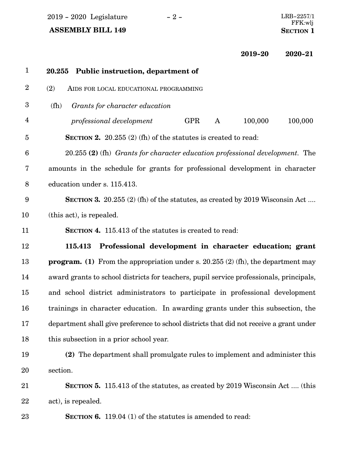2019 - 2020 Legislature - 2 -  $\,$ 

# **ASSEMBLY BILL 149**

**2019-20 2020-21**

| $\mathbf{1}$     | Public instruction, department of<br>20.255                                              |
|------------------|------------------------------------------------------------------------------------------|
| $\boldsymbol{2}$ | (2)<br>AIDS FOR LOCAL EDUCATIONAL PROGRAMMING                                            |
| 3                | (fh)<br>Grants for character education                                                   |
| $\overline{4}$   | 100,000<br>professional development<br><b>GPR</b><br>100,000<br>A                        |
| $\overline{5}$   | <b>SECTION 2.</b> 20.255 (2) (fh) of the statutes is created to read:                    |
| $6\phantom{1}6$  | 20.255 (2) (fh) Grants for character education professional development. The             |
| 7                | amounts in the schedule for grants for professional development in character             |
| 8                | education under s. 115.413.                                                              |
| $9\phantom{.0}$  | <b>SECTION 3.</b> 20.255 (2) (fh) of the statutes, as created by 2019 Wisconsin Act      |
| 10               | (this act), is repealed.                                                                 |
| 11               | <b>SECTION 4.</b> 115.413 of the statutes is created to read:                            |
| 12               | Professional development in character education; grant<br>115.413                        |
| 13               | <b>program.</b> (1) From the appropriation under s. $20.255(2)$ (fh), the department may |
| 14               | award grants to school districts for teachers, pupil service professionals, principals,  |
| 15               | and school district administrators to participate in professional development            |
| 16               | trainings in character education. In awarding grants under this subsection, the          |
| 17               | department shall give preference to school districts that did not receive a grant under  |
| 18               | this subsection in a prior school year.                                                  |
| 19               | (2) The department shall promulgate rules to implement and administer this               |
| 20               | section.                                                                                 |
| 21               | <b>SECTION 5.</b> 115.413 of the statutes, as created by 2019 Wisconsin Act  (this       |
| 22               | act), is repealed.                                                                       |
| 23               | <b>SECTION 6.</b> 119.04 (1) of the statutes is amended to read:                         |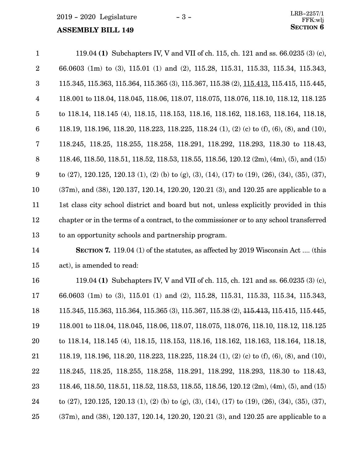<span id="page-2-0"></span> $2019 - 2020$  Legislature  $-3 -$ 

# **ASSEMBLY BILL 149** SECTION 6

119.04 **(1)** Subchapters IV, V and VII of ch. 115, ch. 121 and ss. 66.0235 (3) (c), 66.0603 (1m) to (3), 115.01 (1) and (2), 115.28, 115.31, 115.33, 115.34, 115.343, 115.345, 115.363, 115.364, 115.365 (3), 115.367, 115.38 (2), 115.413, 115.415, 115.445, 118.001 to 118.04, 118.045, 118.06, 118.07, 118.075, 118.076, 118.10, 118.12, 118.125 to 118.14, 118.145 (4), 118.15, 118.153, 118.16, 118.162, 118.163, 118.164, 118.18, 118.19, 118.196, 118.20, 118.223, 118.225, 118.24 (1), (2) (c) to (f), (6), (8), and (10), 118.245, 118.25, 118.255, 118.258, 118.291, 118.292, 118.293, 118.30 to 118.43, 118.46, 118.50, 118.51, 118.52, 118.53, 118.55, 118.56, 120.12 (2m), (4m), (5), and (15) to (27), 120.125, 120.13 (1), (2) (b) to (g), (3), (14), (17) to (19), (26), (34), (35), (37), (37m), and (38), 120.137, 120.14, 120.20, 120.21 (3), and 120.25 are applicable to a 1st class city school district and board but not, unless explicitly provided in this chapter or in the terms of a contract, to the commissioner or to any school transferred to an opportunity schools and partnership program. 1 2 3 4 5 6 7 8 9 10 11 12 13

#### 14

**SECTION 7.** 119.04 (1) of the statutes, as affected by 2019 Wisconsin Act .... (this act), is amended to read: 15

119.04 **(1)** Subchapters IV, V and VII of ch. 115, ch. 121 and ss. 66.0235 (3) (c), 66.0603 (1m) to (3), 115.01 (1) and (2), 115.28, 115.31, 115.33, 115.34, 115.343, 115.345, 115.363, 115.364, 115.365 (3), 115.367, 115.38 (2), 115.413, 115.415, 115.445, 118.001 to 118.04, 118.045, 118.06, 118.07, 118.075, 118.076, 118.10, 118.12, 118.125 to 118.14, 118.145 (4), 118.15, 118.153, 118.16, 118.162, 118.163, 118.164, 118.18, 118.19, 118.196, 118.20, 118.223, 118.225, 118.24 (1), (2) (c) to (f), (6), (8), and (10), 118.245, 118.25, 118.255, 118.258, 118.291, 118.292, 118.293, 118.30 to 118.43, 118.46, 118.50, 118.51, 118.52, 118.53, 118.55, 118.56, 120.12 (2m), (4m), (5), and (15) to (27), 120.125, 120.13 (1), (2) (b) to (g), (3), (14), (17) to (19), (26), (34), (35), (37), (37m), and (38), 120.137, 120.14, 120.20, 120.21 (3), and 120.25 are applicable to a 16 17 18 19 20 21 22 23 24 25